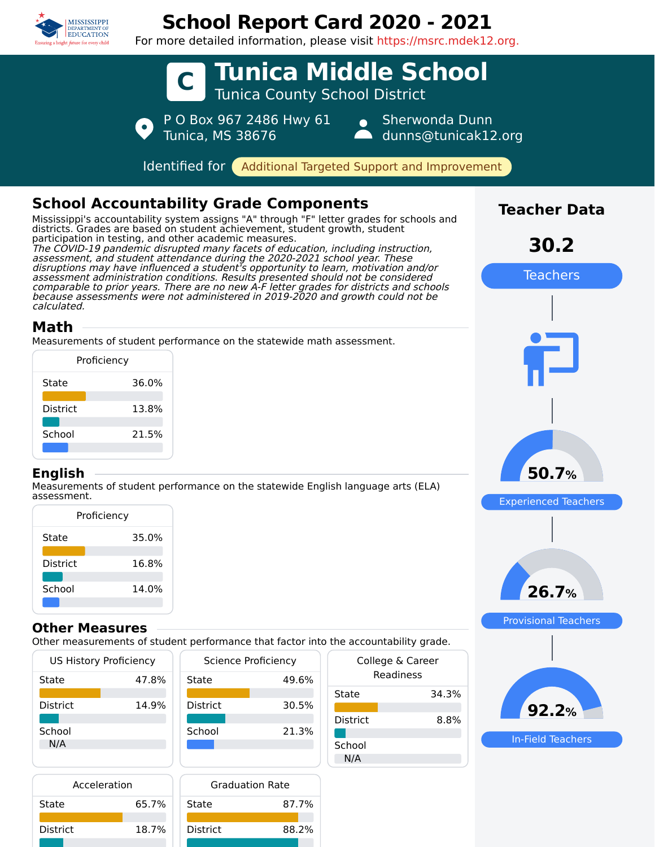

# **School Report Card 2020 - 2021**

For more detailed information, please visit https://msrc.mdek12.org.



| Proficiency     |       |  |  |
|-----------------|-------|--|--|
| State           | 35.0% |  |  |
| <b>District</b> | 16.8% |  |  |
| School          | 14.0% |  |  |
|                 |       |  |  |

#### **Other Measures**

Other measurements of student performance that factor into the accountability grade.

| <b>US History Proficiency</b><br>Science Proficiency |       | College & Career |       |                 |       |
|------------------------------------------------------|-------|------------------|-------|-----------------|-------|
| State                                                | 47.8% | State            | 49.6% | Readiness       |       |
|                                                      |       |                  |       | State           | 34.3% |
| District                                             | 14.9% | <b>District</b>  | 30.5% |                 |       |
|                                                      |       |                  |       | <b>District</b> | 8.8%  |
| School                                               |       | School           | 21.3% |                 |       |
| N/A                                                  |       |                  |       | School          |       |
|                                                      |       |                  |       | N/A             |       |

| 26.7%                       |
|-----------------------------|
| <b>Provisional Teachers</b> |
|                             |
| 92.2%                       |

In-Field Teachers

| Acceleration    |       |                 |
|-----------------|-------|-----------------|
| State           | 65.7% | State           |
| <b>District</b> | 18.7% | <b>District</b> |
|                 |       |                 |

|    | <b>Graduation Rate</b> |       |  |
|----|------------------------|-------|--|
| 7% | State                  | 87.7% |  |
| 7% | <b>District</b>        | 88.2% |  |